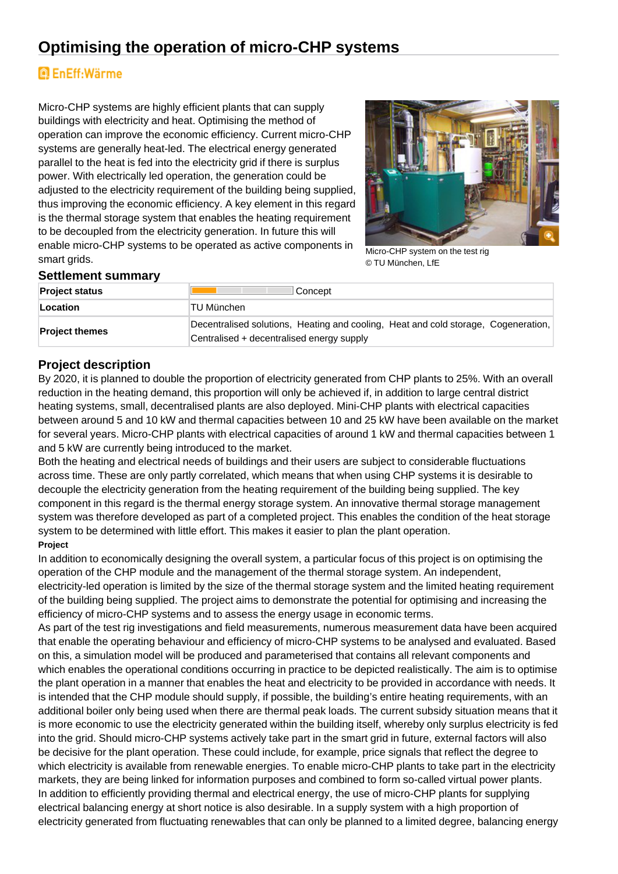## **Optimising the operation of micro-CHP systems**

# **Q** EnEff:Wärme

Micro-CHP systems are highly efficient plants that can supply buildings with electricity and heat. Optimising the method of operation can improve the economic efficiency. Current micro-CHP systems are generally heat-led. The electrical energy generated parallel to the heat is fed into the electricity grid if there is surplus power. With electrically led operation, the generation could be adjusted to the electricity requirement of the building being supplied, thus improving the economic efficiency. A key element in this regard is the thermal storage system that enables the heating requirement to be decoupled from the electricity generation. In future this will enable micro-CHP systems to be operated as active components in smart grids.



Micro-CHP system on the test rig © TU München, LfE

#### **Settlement summary**

| <b>Project status</b> | Concept                                                                                                                         |
|-----------------------|---------------------------------------------------------------------------------------------------------------------------------|
| Location              | TU München                                                                                                                      |
| <b>Project themes</b> | Decentralised solutions, Heating and cooling, Heat and cold storage, Cogeneration,<br>Centralised + decentralised energy supply |

### **Project description**

By 2020, it is planned to double the proportion of electricity generated from CHP plants to 25%. With an overall reduction in the heating demand, this proportion will only be achieved if, in addition to large central district heating systems, small, decentralised plants are also deployed. Mini-CHP plants with electrical capacities between around 5 and 10 kW and thermal capacities between 10 and 25 kW have been available on the market for several years. Micro-CHP plants with electrical capacities of around 1 kW and thermal capacities between 1 and 5 kW are currently being introduced to the market.

Both the heating and electrical needs of buildings and their users are subject to considerable fluctuations across time. These are only partly correlated, which means that when using CHP systems it is desirable to decouple the electricity generation from the heating requirement of the building being supplied. The key component in this regard is the thermal energy storage system. An innovative thermal storage management system was therefore developed as part of a completed project. This enables the condition of the heat storage system to be determined with little effort. This makes it easier to plan the plant operation.

#### **Project**

In addition to economically designing the overall system, a particular focus of this project is on optimising the operation of the CHP module and the management of the thermal storage system. An independent, electricity-led operation is limited by the size of the thermal storage system and the limited heating requirement of the building being supplied. The project aims to demonstrate the potential for optimising and increasing the efficiency of micro-CHP systems and to assess the energy usage in economic terms.

As part of the test rig investigations and field measurements, numerous measurement data have been acquired that enable the operating behaviour and efficiency of micro-CHP systems to be analysed and evaluated. Based on this, a simulation model will be produced and parameterised that contains all relevant components and which enables the operational conditions occurring in practice to be depicted realistically. The aim is to optimise the plant operation in a manner that enables the heat and electricity to be provided in accordance with needs. It is intended that the CHP module should supply, if possible, the building's entire heating requirements, with an additional boiler only being used when there are thermal peak loads. The current subsidy situation means that it is more economic to use the electricity generated within the building itself, whereby only surplus electricity is fed into the grid. Should micro-CHP systems actively take part in the smart grid in future, external factors will also be decisive for the plant operation. These could include, for example, price signals that reflect the degree to which electricity is available from renewable energies. To enable micro-CHP plants to take part in the electricity markets, they are being linked for information purposes and combined to form so-called virtual power plants. In addition to efficiently providing thermal and electrical energy, the use of micro-CHP plants for supplying electrical balancing energy at short notice is also desirable. In a supply system with a high proportion of electricity generated from fluctuating renewables that can only be planned to a limited degree, balancing energy